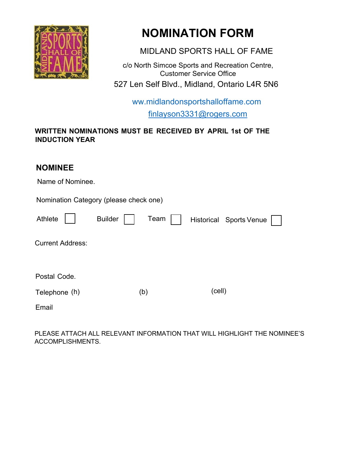

# **NOMINATION FORM**

MIDLAND SPORTS HALL OF FAME

c/o North Simcoe Sports and Recreation Centre, Customer Service Office 527 Len Self Blvd., Midland, Ontario L4R 5N6

> ww.midlandonsportshalloffame.com finlayson3331@rogers.com

### **WRITTEN NOMINATIONS MUST BE RECEIVED BY APRIL 1st OF THE INDUCTION YEAR**

# **NOMINEE**

| IVVIIIIVLL                             |      |                         |
|----------------------------------------|------|-------------------------|
| Name of Nominee.                       |      |                         |
| Nomination Category (please check one) |      |                         |
| <b>Builder</b><br>Athlete              | Team | Historical Sports Venue |
| <b>Current Address:</b>                |      |                         |
| Postal Code.                           |      |                         |
| Telephone (h)                          | (b)  | (cell)                  |
| Email                                  |      |                         |

PLEASE ATTACH ALL RELEVANT INFORMATION THAT WILL HIGHLIGHT THE NOMINEE'S ACCOMPLISHMENTS.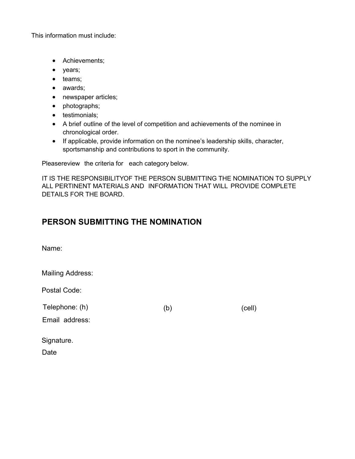This information must include:

- Achievements;
- years;
- teams;
- awards;
- newspaper articles;
- photographs;
- testimonials;
- A brief outline of the level of competition and achievements of the nominee in chronological order.
- If applicable, provide information on the nominee's leadership skills, character, sportsmanship and contributions to sport in the community.

Pleasereview the criteria for each category below.

IT IS THE RESPONSIBILITYOF THE PERSON SUBMITTING THE NOMINATION TO SUPPLY ALL PERTINENT MATERIALS AND INFORMATION THAT WILL PROVIDE COMPLETE DETAILS FOR THE BOARD.

## **PERSON SUBMITTING THE NOMINATION**

Name:

Mailing Address:

Postal Code:

Telephone: (h) (b) (cell)

Email address:

Signature.

Date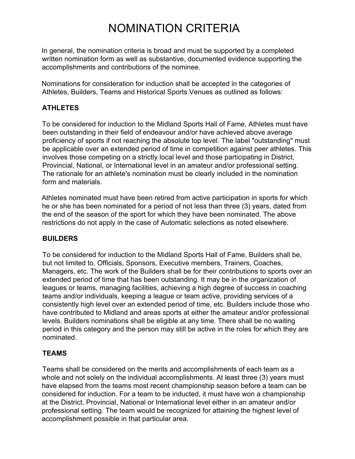# NOMINATION CRITERIA

In general, the nomination criteria is broad and must be supported by a completed written nomination form as well as substantive, documented evidence supporting the accomplishments and contributions of the nominee.

Nominations for consideration for induction shall be accepted in the categories of Athletes, Builders, Teams and Historical Sports Venues as outlined as follows:

### **ATHLETES**

To be considered for induction to the Midland Sports Hall of Fame, Athletes must have been outstanding in their field of endeavour and/or have achieved above average proficiency of sports if not reaching the absolute top level. The label "outstanding" must be applicable over an extended period of time in competition against peer athletes. This involves those competing on a strictly local level and those participating in District, Provincial, National, or International level in an amateur and/or professional setting. The rationale for an athlete's nomination must be clearly included in the nomination form and materials.

Athletes nominated must have been retired from active participation in sports for which he or she has been nominated for a period of not less than three (3) years, dated from the end of the season of the sport for which they have been nominated. The above restrictions do not apply in the case of Automatic selections as noted elsewhere.

#### **BUILDERS**

To be considered for induction to the Midland Sports Hall of Fame, Builders shall be, but not limited to, Officials, Sponsors, Executive members, Trainers, Coaches, Managers, etc. The work of the Builders shall be for their contributions to sports over an extended period of time that has been outstanding. It may be in the organization of leagues or teams, managing facilities, achieving a high degree of success in coaching teams and/or individuals, keeping a league or team active, providing services of a consistently high level over an extended period of time, etc. Builders include those who have contributed to Midland and areas sports at either the amateur and/or professional levels. Builders nominations shall be eligible at any time. There shall be no waiting period in this category and the person may still be active in the roles for which they are nominated.

#### **TEAMS**

Teams shall be considered on the merits and accomplishments of each team as a whole and not solely on the individual accomplishments. At least three (3) years must have elapsed from the teams most recent championship season before a team can be considered for induction. For a team to be inducted, it must have won a championship at the District, Provincial, National or International level either in an amateur and/or professional setting. The team would be recognized for attaining the highest level of accomplishment possible in that particular area.